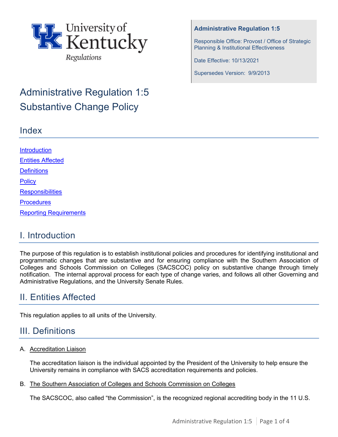

# Administrative Regulation 1:5 Substantive Change Policy

## Index

#### **Administrative Regulation 1:5**

Responsible Office: Provost / Office of Strategic Planning & Institutional Effectiveness

Date Effective: 10/13/2021

Supersedes Version: 9/9/2013

| <b>Introduction</b>           |  |  |
|-------------------------------|--|--|
| <b>Entities Affected</b>      |  |  |
| <b>Definitions</b>            |  |  |
| <b>Policy</b>                 |  |  |
| <b>Responsibilities</b>       |  |  |
| <b>Procedures</b>             |  |  |
| <b>Reporting Requirements</b> |  |  |
|                               |  |  |

# I. Introduction

The purpose of this regulation is to establish institutional policies and procedures for identifying institutional and programmatic changes that are substantive and for ensuring compliance with the Southern Association of Colleges and Schools Commission on Colleges (SACSCOC) policy on substantive change through timely notification. The internal approval process for each type of change varies, and follows all other Governing and Administrative Regulations, and the University Senate Rules.

# <span id="page-0-0"></span>II. Entities Affected

This regulation applies to all units of the University.

# <span id="page-0-1"></span>III. Definitions

#### A. Accreditation Liaison

The accreditation liaison is the individual appointed by the President of the University to help ensure the University remains in compliance with SACS accreditation requirements and policies.

#### B. The Southern Association of Colleges and Schools Commission on Colleges

The SACSCOC, also called "the Commission", is the recognized regional accrediting body in the 11 U.S.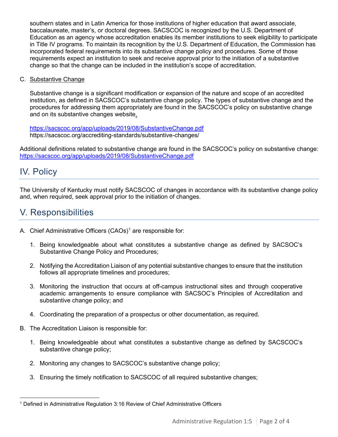southern states and in Latin America for those institutions of higher education that award associate, baccalaureate, master's, or doctoral degrees. SACSCOC is recognized by the U.S. Department of Education as an agency whose accreditation enables its member institutions to seek eligibility to participate in Title IV programs. To maintain its recognition by the U.S. Department of Education, the Commission has incorporated federal requirements into its substantive change policy and procedures. Some of those requirements expect an institution to seek and receive approval prior to the initiation of a substantive change so that the change can be included in the institution's scope of accreditation.

C. Substantive Change

Substantive change is a significant modification or expansion of the nature and scope of an accredited institution, as defined in SACSCOC's substantive change policy. The types of substantive change and the procedures for addressing them appropriately are found in the SACSCOC's [policy on substantive](http://www.sacscoc.org/pdf/081705/Substantive%20change%20policy.pdf) [change](http://www.sacscoc.org/pdf/081705/Substantive%20change%20policy.pdf)  and on its substantive changes [website.](http://www.sacscoc.org/SubstantiveChange.asp)

<https://sacscoc.org/app/uploads/2019/08/SubstantiveChange.pdf> https://sacscoc.org/accrediting-standards/substantive-changes/

Additional definitions related to substantive change are found in the SACSCOC's [policy on substantive](http://www.sacscoc.org/pdf/081705/Substantive%20change%20policy.pdf) [change:](http://www.sacscoc.org/pdf/081705/Substantive%20change%20policy.pdf)  <https://sacscoc.org/app/uploads/2019/08/SubstantiveChange.pdf>

## <span id="page-1-0"></span>IV. Policy

The University of Kentucky must notify SACSCOC of changes in accordance with its substantive change policy and, when required, seek approval prior to the initiation of changes.

## V. Responsibilities

- A. Chief Administrative Officers (CAOs)<sup>[1](#page-1-1)</sup> are responsible for:
	- 1. Being knowledgeable about what constitutes a substantive change as defined by SACSOC's Substantive Change Policy and Procedures;
	- 2. Notifying the Accreditation Liaison of any potential substantive changes to ensure that the institution follows all appropriate timelines and procedures;
	- 3. Monitoring the instruction that occurs at off-campus instructional sites and through cooperative academic arrangements to ensure compliance with SACSOC's Principles of Accreditation and substantive change policy; and
	- 4. Coordinating the preparation of a prospectus or other documentation, as required.
- B. The Accreditation Liaison is responsible for:
	- 1. Being knowledgeable about what constitutes a substantive change as defined by SACSCOC's substantive change policy;
	- 2. Monitoring any changes to SACSCOC's substantive change policy;
	- 3. Ensuring the timely notification to SACSCOC of all required substantive changes;

<span id="page-1-1"></span><sup>&</sup>lt;sup>1</sup> Defined in Administrative Regulation 3:16 Review of Chief Administrative Officers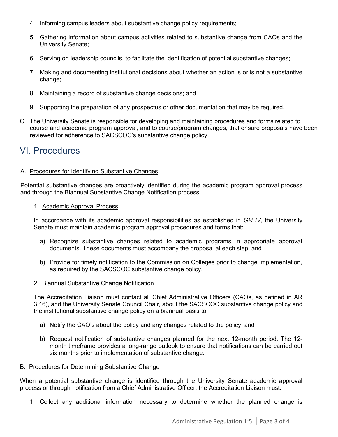- 4. Informing campus leaders about substantive change policy requirements;
- 5. Gathering information about campus activities related to substantive change from CAOs and the University Senate;
- 6. Serving on leadership councils, to facilitate the identification of potential substantive changes;
- 7. Making and documenting institutional decisions about whether an action is or is not a substantive change;
- 8. Maintaining a record of substantive change decisions; and
- 9. Supporting the preparation of any prospectus or other documentation that may be required.
- C. The University Senate is responsible for developing and maintaining procedures and forms related to course and academic program approval, and to course/program changes, that ensure proposals have been reviewed for adherence to SACSCOC's substantive change policy.

### VI. Procedures

#### A. Procedures for Identifying Substantive Changes

Potential substantive changes are proactively identified during the academic program approval process and through the Biannual Substantive Change Notification process.

#### 1. Academic Approval Process

In accordance with its academic approval responsibilities as established in *GR IV*, the University Senate must maintain academic program approval procedures and forms that:

- a) Recognize substantive changes related to academic programs in appropriate approval documents. These documents must accompany the proposal at each step; and
- b) Provide for timely notification to the Commission on Colleges prior to change implementation, as required by the SACSCOC substantive change policy.

#### 2. Biannual Substantive Change Notification

The Accreditation Liaison must contact all Chief Administrative Officers (CAOs, as defined in AR 3:16), and the University Senate Council Chair, about the SACSCOC substantive change policy and the institutional substantive change policy on a biannual basis to:

- a) Notify the CAO's about the policy and any changes related to the policy; and
- b) Request notification of substantive changes planned for the next 12-month period. The 12 month timeframe provides a long-range outlook to ensure that notifications can be carried out six months prior to implementation of substantive change.

#### B. Procedures for Determining Substantive Change

When a potential substantive change is identified through the University Senate academic approval process or through notification from a Chief Administrative Officer, the Accreditation Liaison must:

1. Collect any additional information necessary to determine whether the planned change is